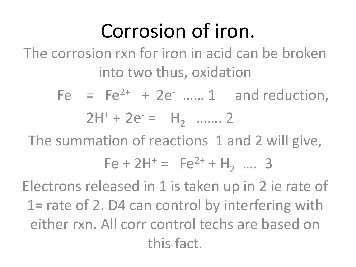# Corrosion of iron.

The corrosion rxn for iron in acid can be broken into two thus, oxidation

> Fe =  $Fe^{2+}$  +  $2e^{-}$  ...... 1 and reduction,  $2H^{+} + 2e^{-} = H_{2} \dots 2$

The summation of reactions 1 and 2 will give,

$$
Fe + 2H^{+} = Fe^{2+} + H_2 \dots 3
$$

Electrons released in 1 is taken up in 2 ie rate of 1= rate of 2. D4 can control by interfering with either rxn. All corr control techs are based on this fact.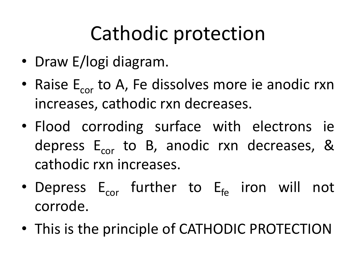# Cathodic protection

- Draw E/logi diagram.
- Raise  $E_{\text{cor}}$  to A, Fe dissolves more ie anodic rxn increases, cathodic rxn decreases.
- Flood corroding surface with electrons ie depress  $E_{cor}$  to B, anodic rxn decreases, & cathodic rxn increases.
- Depress  $E_{cor}$  further to  $E_{fo}$  iron will not corrode.
- This is the principle of CATHODIC PROTECTION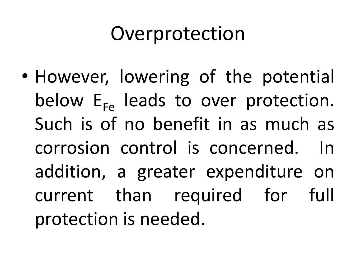## Overprotection

• However, lowering of the potential below  $E_{F_{P}}$  leads to over protection. Such is of no benefit in as much as corrosion control is concerned. In addition, a greater expenditure on current than required for full protection is needed.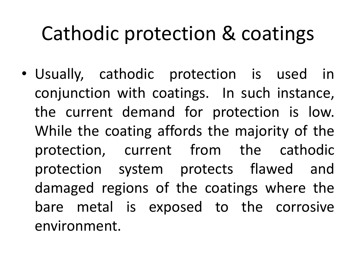## Cathodic protection & coatings

• Usually, cathodic protection is used in conjunction with coatings. In such instance, the current demand for protection is low. While the coating affords the majority of the protection, current from the cathodic protection system protects flawed and damaged regions of the coatings where the bare metal is exposed to the corrosive environment.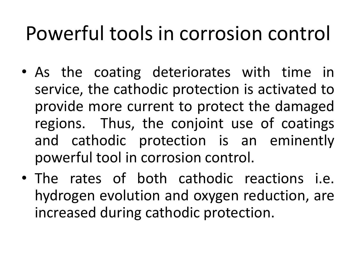# Powerful tools in corrosion control

- As the coating deteriorates with time in service, the cathodic protection is activated to provide more current to protect the damaged regions. Thus, the conjoint use of coatings and cathodic protection is an eminently powerful tool in corrosion control.
- The rates of both cathodic reactions i.e. hydrogen evolution and oxygen reduction, are increased during cathodic protection.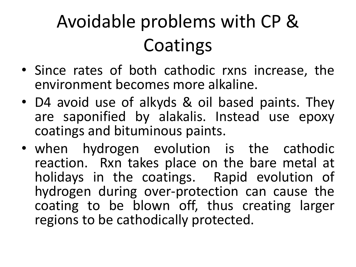# Avoidable problems with CP & **Coatings**

- Since rates of both cathodic rxns increase, the environment becomes more alkaline.
- D4 avoid use of alkyds & oil based paints. They are saponified by alakalis. Instead use epoxy coatings and bituminous paints.
- when hydrogen evolution is the cathodic reaction. Rxn takes place on the bare metal at holidays in the coatings. Rapid evolution of hydrogen during over-protection can cause the coating to be blown off, thus creating larger regions to be cathodically protected.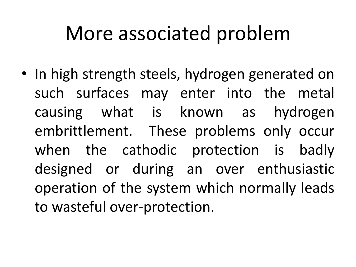## More associated problem

• In high strength steels, hydrogen generated on such surfaces may enter into the metal causing what is known as hydrogen embrittlement. These problems only occur when the cathodic protection is badly designed or during an over enthusiastic operation of the system which normally leads to wasteful over-protection.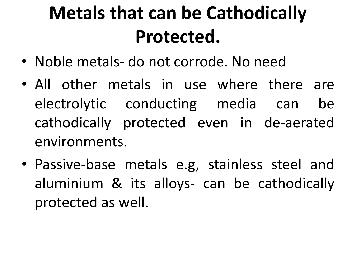# **Metals that can be Cathodically Protected.**

- Noble metals- do not corrode. No need
- All other metals in use where there are electrolytic conducting media can be cathodically protected even in de-aerated environments.
- Passive-base metals e.g, stainless steel and aluminium & its alloys- can be cathodically protected as well.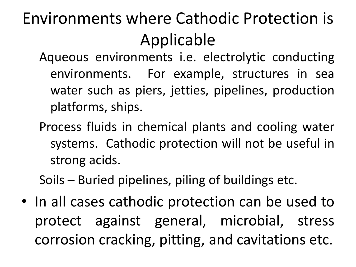#### Environments where Cathodic Protection is Applicable

- Aqueous environments i.e. electrolytic conducting environments. For example, structures in sea water such as piers, jetties, pipelines, production platforms, ships.
- Process fluids in chemical plants and cooling water systems. Cathodic protection will not be useful in strong acids.

Soils – Buried pipelines, piling of buildings etc.

• In all cases cathodic protection can be used to protect against general, microbial, stress corrosion cracking, pitting, and cavitations etc.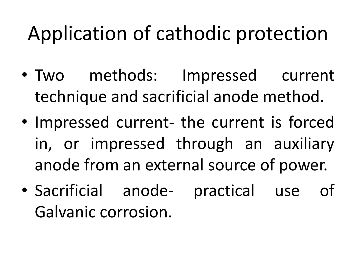# Application of cathodic protection

- Two methods: Impressed current technique and sacrificial anode method.
- Impressed current- the current is forced in, or impressed through an auxiliary anode from an external source of power.
- Sacrificial anode- practical use of Galvanic corrosion.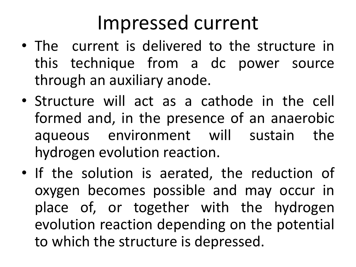### Impressed current

- The current is delivered to the structure in this technique from a dc power source through an auxiliary anode.
- Structure will act as a cathode in the cell formed and, in the presence of an anaerobic aqueous environment will sustain the hydrogen evolution reaction.
- If the solution is aerated, the reduction of oxygen becomes possible and may occur in place of, or together with the hydrogen evolution reaction depending on the potential to which the structure is depressed.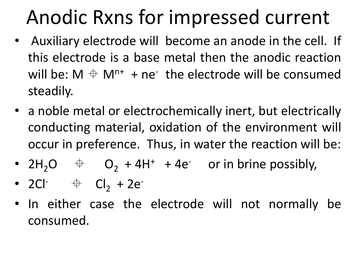# Anodic Rxns for impressed current

- Auxiliary electrode will become an anode in the cell. If this electrode is a base metal then the anodic reaction will be:  $M \triangleq M^{n+} + ne^{-}$  the electrode will be consumed steadily.
- a noble metal or electrochemically inert, but electrically conducting material, oxidation of the environment will occur in preference. Thus, in water the reaction will be:
- $2H_2O \quad \Leftrightarrow \quad O_2 + 4H^+ + 4e^- \quad \text{or in brine possibly,}$
- 2Cl<sup>-</sup>  $\qquadqquad \oplus$  Cl<sub>2</sub> + 2e<sup>-</sup>
- In either case the electrode will not normally be consumed.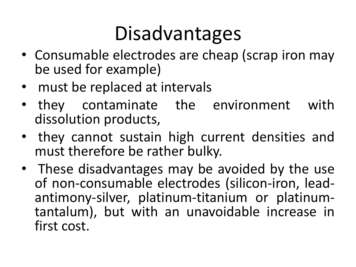# Disadvantages

- Consumable electrodes are cheap (scrap iron may be used for example)
- must be replaced at intervals
- they contaminate the environment with dissolution products,
- they cannot sustain high current densities and must therefore be rather bulky.
- These disadvantages may be avoided by the use of non-consumable electrodes (silicon-iron, leadantimony-silver, platinum-titanium or platinumtantalum), but with an unavoidable increase in first cost.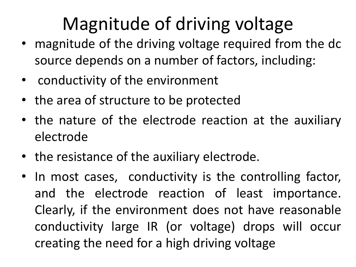### Magnitude of driving voltage

- magnitude of the driving voltage required from the dc source depends on a number of factors, including:
- conductivity of the environment
- the area of structure to be protected
- the nature of the electrode reaction at the auxiliary electrode
- the resistance of the auxiliary electrode.
- In most cases, conductivity is the controlling factor, and the electrode reaction of least importance. Clearly, if the environment does not have reasonable conductivity large IR (or voltage) drops will occur creating the need for a high driving voltage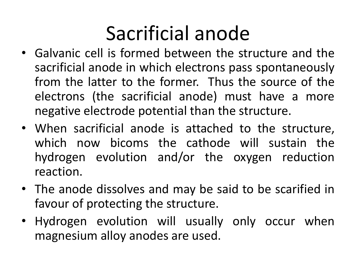# Sacrificial anode

- Galvanic cell is formed between the structure and the sacrificial anode in which electrons pass spontaneously from the latter to the former. Thus the source of the electrons (the sacrificial anode) must have a more negative electrode potential than the structure.
- When sacrificial anode is attached to the structure, which now bicoms the cathode will sustain the hydrogen evolution and/or the oxygen reduction reaction.
- The anode dissolves and may be said to be scarified in favour of protecting the structure.
- Hydrogen evolution will usually only occur when magnesium alloy anodes are used.